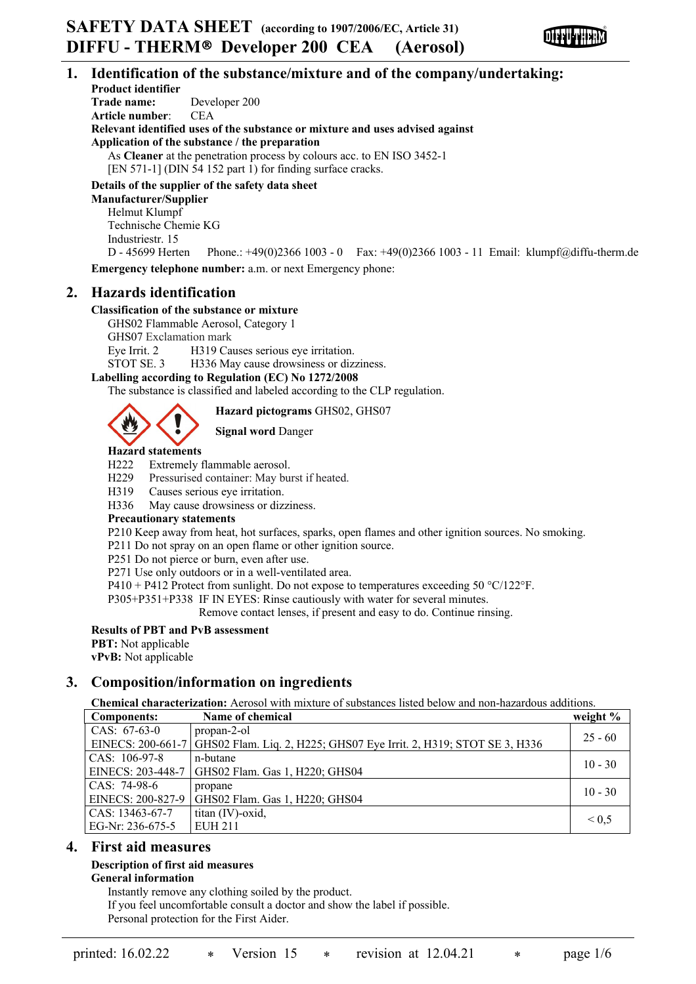

# **1. Identification of the substance/mixture and of the company/undertaking:**

**Product identifier Trade name:** Developer 200 **Article number**: CEA **Relevant identified uses of the substance or mixture and uses advised against Application of the substance / the preparation** As **Cleaner** at the penetration process by colours acc. to EN ISO 3452-1 [EN 571-1] (DIN 54 152 part 1) for finding surface cracks.

**Details of the supplier of the safety data sheet**

**Manufacturer/Supplier** Helmut Klumpf Technische Chemie KG Industriestr. 15

D - 45699 Herten Phone.: +49(0)2366 1003 - 0 Fax: +49(0)2366 1003 - 11 Email: klumpf@diffu-therm.de **Emergency telephone number:** a.m. or next Emergency phone:

# **2. Hazards identification**

### **Classification of the substance or mixture**

GHS02 Flammable Aerosol, Category 1

GHS07 Exclamation mark

Eye Irrit. 2 H319 Causes serious eye irritation.

STOT SE. 3 H336 May cause drowsiness or dizziness.

### **Labelling according to Regulation (EC) No 1272/2008**

The substance is classified and labeled according to the CLP regulation.

**Hazard pictograms** GHS02, GHS07

**Signal word** Danger

# **Hazard statements**

H222 Extremely flammable aerosol.

H229 Pressurised container: May burst if heated.

H319 Causes serious eye irritation.

H336 May cause drowsiness or dizziness.

#### **Precautionary statements**

P210 Keep away from heat, hot surfaces, sparks, open flames and other ignition sources. No smoking.

P211 Do not spray on an open flame or other ignition source.

P251 Do not pierce or burn, even after use.

P271 Use only outdoors or in a well-ventilated area.

P410 + P412 Protect from sunlight. Do not expose to temperatures exceeding  $50^{\circ}$ C/122°F.

P305+P351+P338 IF IN EYES: Rinse cautiously with water for several minutes.

Remove contact lenses, if present and easy to do. Continue rinsing.

#### **Results of PBT and PvB assessment**

**PBT:** Not applicable

**vPvB:** Not applicable

# **3. Composition/information on ingredients**

**Chemical characterization:** Aerosol with mixture of substances listed below and non-hazardous additions.

| <b>Components:</b> | Name of chemical                                                    | weight $\%$ |
|--------------------|---------------------------------------------------------------------|-------------|
| CAS: $67-63-0$     | propan-2-ol                                                         | $25 - 60$   |
| EINECS: 200-661-7  | GHS02 Flam. Liq. 2, H225; GHS07 Eye Irrit. 2, H319; STOT SE 3, H336 |             |
| CAS: $106-97-8$    | n-butane                                                            | $10 - 30$   |
| EINECS: 203-448-7  | GHS02 Flam. Gas 1, H220; GHS04                                      |             |
| CAS: 74-98-6       | propane                                                             | $10 - 30$   |
| EINECS: 200-827-9  | GHS02 Flam. Gas 1, H220; GHS04                                      |             |
| CAS: 13463-67-7    | titan (IV)-oxid,                                                    | ${}_{0.5}$  |
| EG-Nr: 236-675-5   | <b>EUH 211</b>                                                      |             |

# **4. First aid measures**

# **Description of first aid measures**

**General information**

Instantly remove any clothing soiled by the product.

If you feel uncomfortable consult a doctor and show the label if possible.

Personal protection for the First Aider.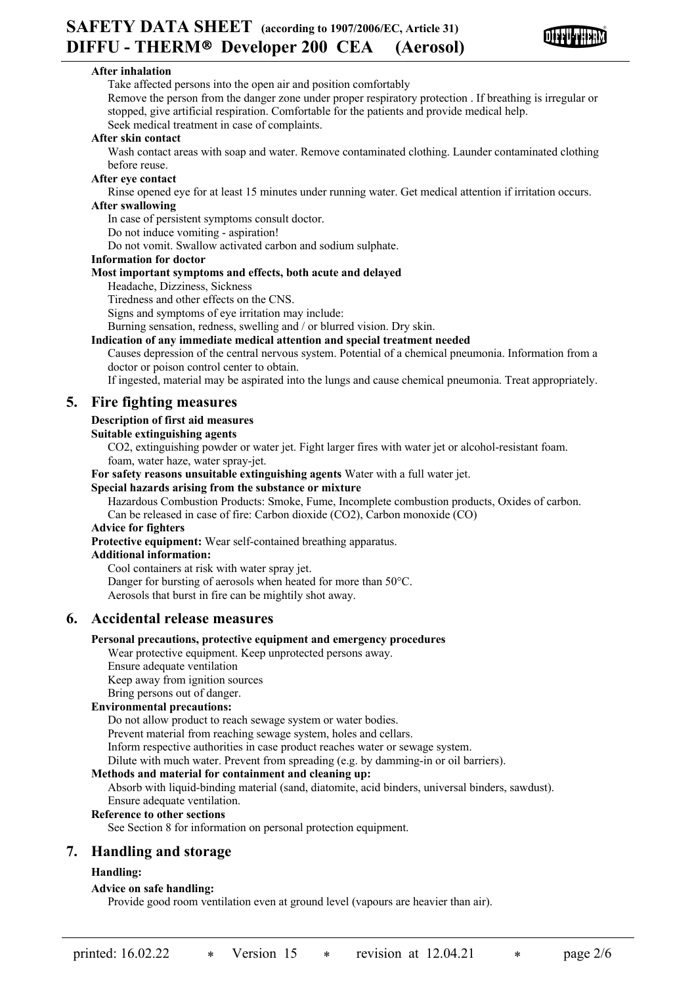

## **After inhalation**

Take affected persons into the open air and position comfortably Remove the person from the danger zone under proper respiratory protection . If breathing is irregular or stopped, give artificial respiration. Comfortable for the patients and provide medical help. Seek medical treatment in case of complaints.

#### **After skin contact**

Wash contact areas with soap and water. Remove contaminated clothing. Launder contaminated clothing before reuse.

#### **After eye contact**

Rinse opened eye for at least 15 minutes under running water. Get medical attention if irritation occurs. **After swallowing**

In case of persistent symptoms consult doctor.

Do not induce vomiting - aspiration!

Do not vomit. Swallow activated carbon and sodium sulphate.

#### **Information for doctor**

#### **Most important symptoms and effects, both acute and delayed**

Headache, Dizziness, Sickness

Tiredness and other effects on the CNS.

Signs and symptoms of eye irritation may include:

Burning sensation, redness, swelling and / or blurred vision. Dry skin.

#### **Indication of any immediate medical attention and special treatment needed**

Causes depression of the central nervous system. Potential of a chemical pneumonia. Information from a doctor or poison control center to obtain.

If ingested, material may be aspirated into the lungs and cause chemical pneumonia. Treat appropriately.

# **5. Fire fighting measures**

#### **Description of first aid measures**

#### **Suitable extinguishing agents**

CO2, extinguishing powder or water jet. Fight larger fires with water jet or alcohol-resistant foam. foam, water haze, water spray-jet.

**For safety reasons unsuitable extinguishing agents** Water with a full water jet.

#### **Special hazards arising from the substance or mixture**

Hazardous Combustion Products: Smoke, Fume, Incomplete combustion products, Oxides of carbon. Can be released in case of fire: Carbon dioxide (CO2), Carbon monoxide (CO)

# **Advice for fighters**

**Protective equipment:** Wear self-contained breathing apparatus.

## **Additional information:**

Cool containers at risk with water spray jet. Danger for bursting of aerosols when heated for more than 50°C. Aerosols that burst in fire can be mightily shot away.

# **6. Accidental release measures**

#### **Personal precautions, protective equipment and emergency procedures**

Wear protective equipment. Keep unprotected persons away.

Ensure adequate ventilation

Keep away from ignition sources

Bring persons out of danger.

#### **Environmental precautions:**

Do not allow product to reach sewage system or water bodies.

Prevent material from reaching sewage system, holes and cellars.

Inform respective authorities in case product reaches water or sewage system.

Dilute with much water. Prevent from spreading (e.g. by damming-in or oil barriers).

#### **Methods and material for containment and cleaning up:**

Absorb with liquid-binding material (sand, diatomite, acid binders, universal binders, sawdust). Ensure adequate ventilation.

#### **Reference to other sections**

See Section 8 for information on personal protection equipment.

# **7. Handling and storage**

# **Handling:**

#### **Advice on safe handling:**

Provide good room ventilation even at ground level (vapours are heavier than air).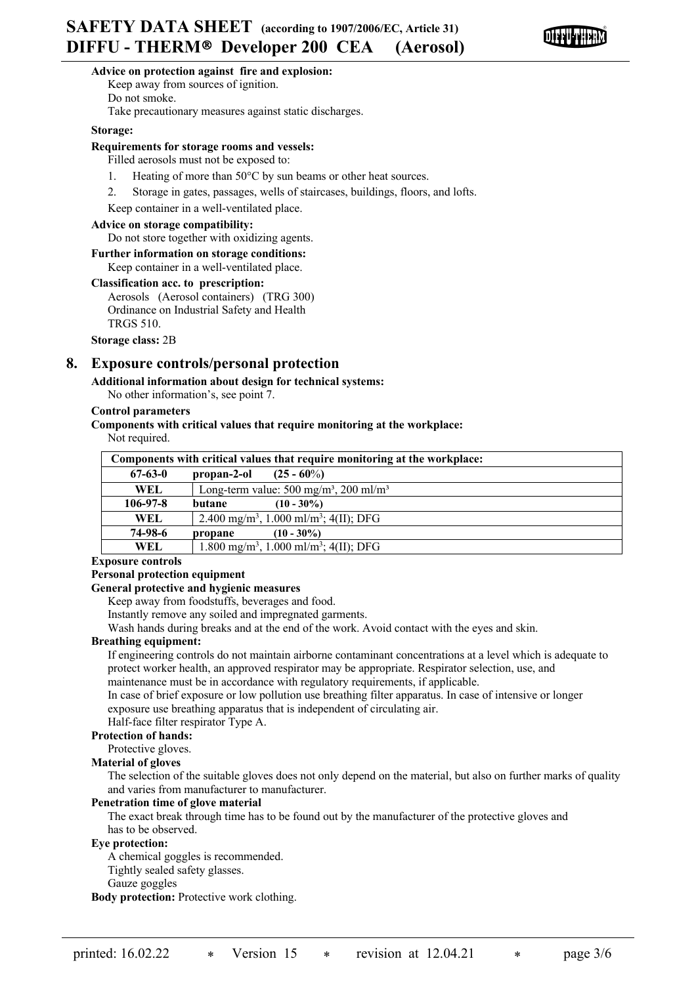

#### **Advice on protection against fire and explosion:**

Keep away from sources of ignition. Do not smoke.

Take precautionary measures against static discharges.

#### **Storage:**

#### **Requirements for storage rooms and vessels:**

Filled aerosols must not be exposed to:

- 1. Heating of more than 50°C by sun beams or other heat sources.
- 2. Storage in gates, passages, wells of staircases, buildings, floors, and lofts.

Keep container in a well-ventilated place.

#### **Advice on storage compatibility:**

Do not store together with oxidizing agents.

# **Further information on storage conditions:**

Keep container in a well-ventilated place.

#### **Classification acc. to prescription:**

Aerosols (Aerosol containers) (TRG 300) Ordinance on Industrial Safety and Health TRGS 510.

**Storage class:** 2B

# **8. Exposure controls/personal protection**

### **Additional information about design for technical systems:**

No other information's, see point 7.

#### **Control parameters**

# **Components with critical values that require monitoring at the workplace:**

Not required.

| Components with critical values that require monitoring at the workplace: |                                                                |  |  |  |
|---------------------------------------------------------------------------|----------------------------------------------------------------|--|--|--|
| $67 - 63 - 0$                                                             | propan-2-ol<br>$(25 - 60\%)$                                   |  |  |  |
| <b>WEL</b>                                                                | Long-term value: $500 \text{ mg/m}^3$ , $200 \text{ ml/m}^3$   |  |  |  |
| $106 - 97 - 8$                                                            | $(10 - 30\%)$<br>butane                                        |  |  |  |
| WEL.                                                                      | 2.400 mg/m <sup>3</sup> , 1.000 ml/m <sup>3</sup> ; 4(II); DFG |  |  |  |
| 74-98-6                                                                   | $(10 - 30\%)$<br>propane                                       |  |  |  |
| WEL.                                                                      | 1.800 mg/m <sup>3</sup> , 1.000 ml/m <sup>3</sup> ; 4(II); DFG |  |  |  |

#### **Exposure controls**

#### **Personal protection equipment**

#### **General protective and hygienic measures**

Keep away from foodstuffs, beverages and food.

Instantly remove any soiled and impregnated garments.

Wash hands during breaks and at the end of the work. Avoid contact with the eyes and skin.

#### **Breathing equipment:**

If engineering controls do not maintain airborne contaminant concentrations at a level which is adequate to protect worker health, an approved respirator may be appropriate. Respirator selection, use, and maintenance must be in accordance with regulatory requirements, if applicable.

In case of brief exposure or low pollution use breathing filter apparatus. In case of intensive or longer exposure use breathing apparatus that is independent of circulating air.

Half-face filter respirator Type A.

#### **Protection of hands:**

Protective gloves.

#### **Material of gloves**

The selection of the suitable gloves does not only depend on the material, but also on further marks of quality and varies from manufacturer to manufacturer.

#### **Penetration time of glove material**

The exact break through time has to be found out by the manufacturer of the protective gloves and has to be observed.

#### **Eye protection:**

A chemical goggles is recommended.

Tightly sealed safety glasses.

#### Gauze goggles

**Body protection:** Protective work clothing.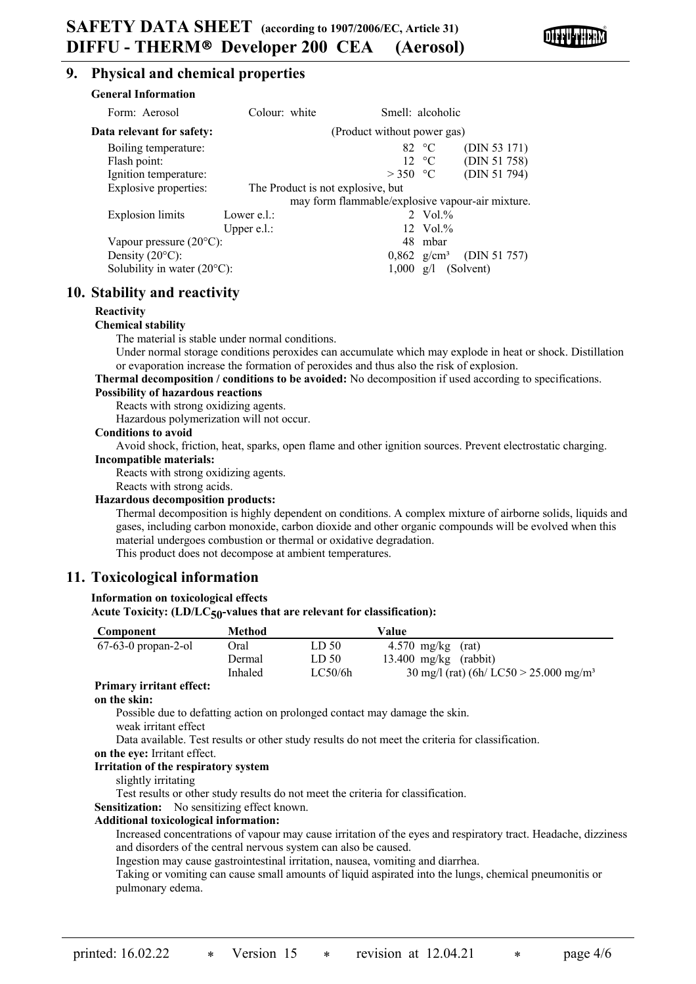

# **9. Physical and chemical properties**

| <b>General Information</b>            |                             |                                                  |                        |                                                  |
|---------------------------------------|-----------------------------|--------------------------------------------------|------------------------|--------------------------------------------------|
| Form: Aerosol                         | Colour: white               | Smell: alcoholic                                 |                        |                                                  |
| Data relevant for safety:             | (Product without power gas) |                                                  |                        |                                                  |
| Boiling temperature:                  |                             |                                                  | 82 $\degree$ C         | (DIN 53 171)                                     |
| Flash point:                          |                             |                                                  | $12 \text{ }^{\circ}C$ | (DIN 51 758)                                     |
| Ignition temperature:                 |                             | $>350$ °C                                        |                        | (DIN 51 794)                                     |
| Explosive properties:                 |                             | The Product is not explosive, but                |                        |                                                  |
|                                       |                             | may form flammable/explosive vapour-air mixture. |                        |                                                  |
| <b>Explosion</b> limits               | Lower e.l.:                 |                                                  | 2 Vol. $%$             |                                                  |
|                                       | Upper $e.l.$ :              |                                                  | $12 \text{ Vol.}\%$    |                                                  |
| Vapour pressure $(20^{\circ}C)$ :     |                             |                                                  | 48 mbar                |                                                  |
| Density $(20^{\circ}C)$ :             |                             |                                                  |                        | $0,862 \text{ g/cm}^3 \quad \text{(DIN 51 757)}$ |
| Solubility in water $(20^{\circ}C)$ : |                             |                                                  |                        | $1,000 \text{ g/l}$ (Solvent)                    |

# **10. Stability and reactivity**

#### **Reactivity**

#### **Chemical stability**

The material is stable under normal conditions.

Under normal storage conditions peroxides can accumulate which may explode in heat or shock. Distillation or evaporation increase the formation of peroxides and thus also the risk of explosion.

# **Thermal decomposition / conditions to be avoided:** No decomposition if used according to specifications.

#### **Possibility of hazardous reactions**

Reacts with strong oxidizing agents.

Hazardous polymerization will not occur.

#### **Conditions to avoid**

Avoid shock, friction, heat, sparks, open flame and other ignition sources. Prevent electrostatic charging.

# **Incompatible materials:**

Reacts with strong oxidizing agents.

# Reacts with strong acids.

#### **Hazardous decomposition products:**

Thermal decomposition is highly dependent on conditions. A complex mixture of airborne solids, liquids and gases, including carbon monoxide, carbon dioxide and other organic compounds will be evolved when this material undergoes combustion or thermal or oxidative degradation. This product does not decompose at ambient temperatures.

# **11. Toxicological information**

# **Information on toxicological effects**

**Acute Toxicity: (LD/LC50-values that are relevant for classification):**

| Component             | <b>Method</b> |                  | Value                                                        |
|-----------------------|---------------|------------------|--------------------------------------------------------------|
| $67-63-0$ propan-2-ol | Oral          | LD <sub>50</sub> | $4.570$ mg/kg (rat)                                          |
|                       | Dermal        | LD <sub>50</sub> | $13.400$ mg/kg (rabbit)                                      |
|                       | Inhaled       | LC50/6h          | $30 \text{ mg/l}$ (rat) (6h/ LC50 > 25.000 mg/m <sup>3</sup> |

# **Primary irritant effect:**

## **on the skin:**

Possible due to defatting action on prolonged contact may damage the skin.

weak irritant effect

Data available. Test results or other study results do not meet the criteria for classification.

**on the eye:** Irritant effect.

#### **Irritation of the respiratory system**

slightly irritating

Test results or other study results do not meet the criteria for classification.

Sensitization: No sensitizing effect known.

#### **Additional toxicological information:**

Increased concentrations of vapour may cause irritation of the eyes and respiratory tract. Headache, dizziness and disorders of the central nervous system can also be caused.

Ingestion may cause gastrointestinal irritation, nausea, vomiting and diarrhea.

Taking or vomiting can cause small amounts of liquid aspirated into the lungs, chemical pneumonitis or pulmonary edema.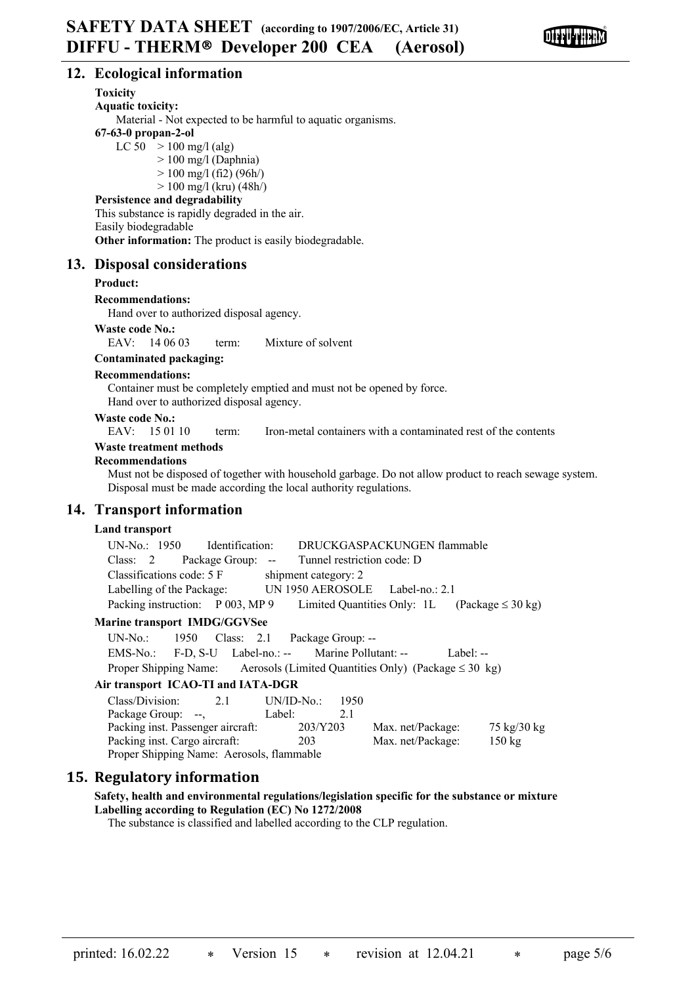

# **12. Ecological information**

## **Toxicity**

**Aquatic toxicity:**

Material - Not expected to be harmful to aquatic organisms.

# **67-63-0 propan-2-ol**

LC  $50 > 100$  mg/l (alg)

 $> 100$  mg/l (Daphnia)

 $> 100$  mg/l (fi2) (96h/)

 $> 100$  mg/l (kru) (48h/)

# **Persistence and degradability**

This substance is rapidly degraded in the air. Easily biodegradable

**Other information:** The product is easily biodegradable.

# **13. Disposal considerations**

#### **Product:**

**Recommendations:**

Hand over to authorized disposal agency.

#### **Waste code No.:**

EAV: 14.06.03 term: Mixture of solvent

### **Contaminated packaging:**

#### **Recommendations:**

Container must be completely emptied and must not be opened by force. Hand over to authorized disposal agency.

# **Waste code No.:**<br>EAV: 15.01.10

term: Iron-metal containers with a contaminated rest of the contents

# **Waste treatment methods**

#### **Recommendations**

Must not be disposed of together with household garbage. Do not allow product to reach sewage system. Disposal must be made according the local authority regulations.

# **14. Transport information**

# **Land transport**

| UN-No.: 1950 Identification:                          | DRUCKGASPACKUNGEN flammable     |                                                    |
|-------------------------------------------------------|---------------------------------|----------------------------------------------------|
| Class: 2 Package Group: -- Tunnel restriction code: D |                                 |                                                    |
| Classifications code: 5 F                             | shipment category: 2            |                                                    |
| Labelling of the Package:                             | UN 1950 AEROSOLE Label-no.: 2.1 |                                                    |
| Packing instruction: P 003, MP 9                      |                                 | Limited Quantities Only: 1L (Package $\leq 30$ kg) |

#### **Marine transport IMDG/GGVSee**

UN-No.: 1950 Class: 2.1 Package Group: -- EMS-No.: F-D, S-U Label-no.: -- Marine Pollutant: -- Label: --Proper Shipping Name: Aerosols (Limited Quantities Only) (Package  $\leq 30 \text{ kg}$ )

#### **Air transport ICAO-TI and IATA-DGR**

| Class/Division:                           | 2.1 | $UN/ID-No.$ |          | 1950 |                   |                               |
|-------------------------------------------|-----|-------------|----------|------|-------------------|-------------------------------|
| Package Group: --,                        |     | Label:      |          |      |                   |                               |
| Packing inst. Passenger aircraft:         |     |             | 203/Y203 |      | Max. net/Package: | $75 \text{ kg}/30 \text{ kg}$ |
| Packing inst. Cargo aircraft:             |     |             | 203      |      | Max. net/Package: | $150 \text{ kg}$              |
| Proper Shipping Name: Aerosols, flammable |     |             |          |      |                   |                               |

# **15. Regulatory information**

# **Safety, health and environmental regulations/legislation specific for the substance or mixture Labelling according to Regulation (EC) No 1272/2008**

The substance is classified and labelled according to the CLP regulation.